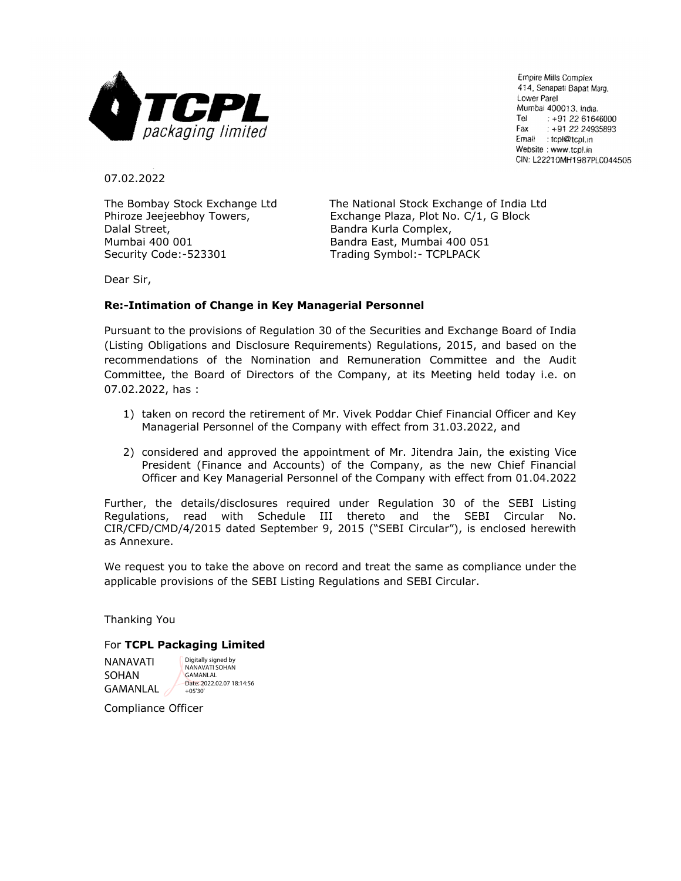

Empire Mills Complex 414, Senapati Bapat Marg, Lower Parel Mumbai 400013, India. Tel  $: +912261646000$ Fax  $: +912224935893$ Email : tcpl@tcpl.in Website: www.tcpl.in CIN: L22210MH1987PLC044505

07.02.2022

Dalal Street,  $B$ andra Kurla Complex, Mumbai 400 001 Bandra East, Mumbai 400 051 Security Code:-523301 Trading Symbol:- TCPLPACK

The Bombay Stock Exchange Ltd The National Stock Exchange of India Ltd Phiroze Jeejeebhoy Towers, Exchange Plaza, Plot No. C/1, G Block

Dear Sir,

## **Re:-Intimation of Change in Key Managerial Personnel**

Pursuant to the provisions of Regulation 30 of the Securities and Exchange Board of India (Listing Obligations and Disclosure Requirements) Regulations, 2015, and based on the recommendations of the Nomination and Remuneration Committee and the Audit Committee, the Board of Directors of the Company, at its Meeting held today i.e. on 07.02.2022, has :

- 1) taken on record the retirement of Mr. Vivek Poddar Chief Financial Officer and Key Managerial Personnel of the Company with effect from 31.03.2022, and
- 2) considered and approved the appointment of Mr. Jitendra Jain, the existing Vice President (Finance and Accounts) of the Company, as the new Chief Financial Officer and Key Managerial Personnel of the Company with effect from 01.04.2022

Further, the details/disclosures required under Regulation 30 of the SEBI Listing Regulations, read with Schedule III thereto and the SEBI Circular No. CIR/CFD/CMD/4/2015 dated September 9, 2015 ("SEBI Circular"), is enclosed herewith as Annexure.

We request you to take the above on record and treat the same as compliance under the applicable provisions of the SEBI Listing Regulations and SEBI Circular.

Thanking You

## For **TCPL Packaging Limited**

NANAVATI SOHAN GAMANLAL

Digitally signed by NANAVATI SOHAN GAMANLAL Date: 2022.02.07 18:14:56 +05'30'

Compliance Officer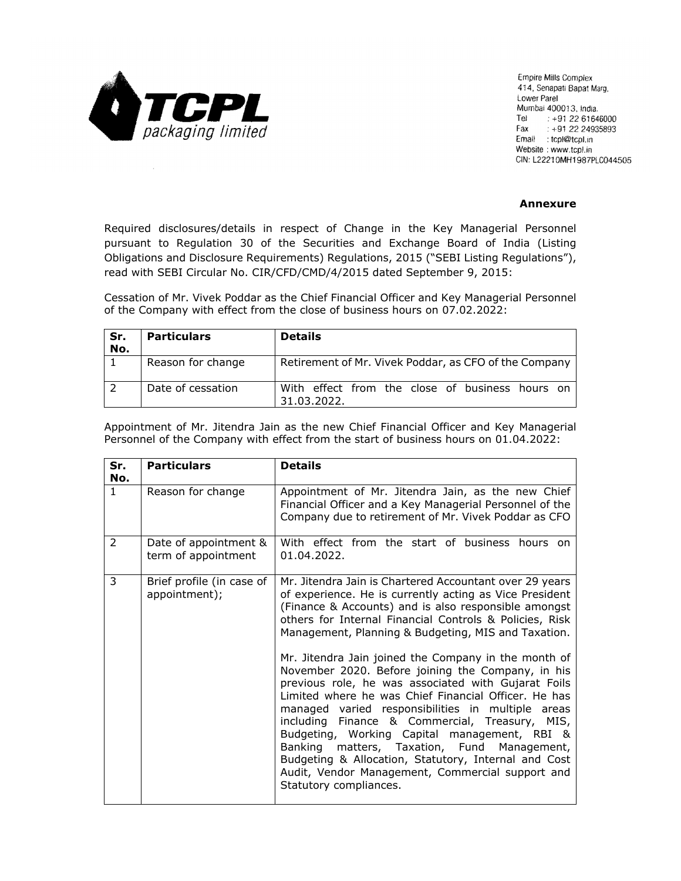

Empire Mills Complex 414, Senapati Bapat Marq, Lower Parel Mumbai 400013, India. Tel : +91 22 61646000 Fax  $: +912224935893$ Email : tcpl@tcpl.in Website: www.tcpl.in CIN: L22210MH1987PLC044505

## **Annexure**

Required disclosures/details in respect of Change in the Key Managerial Personnel pursuant to Regulation 30 of the Securities and Exchange Board of India (Listing Obligations and Disclosure Requirements) Regulations, 2015 ("SEBI Listing Regulations"), read with SEBI Circular No. CIR/CFD/CMD/4/2015 dated September 9, 2015:

Cessation of Mr. Vivek Poddar as the Chief Financial Officer and Key Managerial Personnel of the Company with effect from the close of business hours on 07.02.2022:

| Sr.<br>No. | <b>Particulars</b> | <b>Details</b>                                                 |
|------------|--------------------|----------------------------------------------------------------|
|            | Reason for change  | Retirement of Mr. Vivek Poddar, as CFO of the Company          |
|            | Date of cessation  | With effect from the close of business hours on<br>31.03.2022. |

Appointment of Mr. Jitendra Jain as the new Chief Financial Officer and Key Managerial Personnel of the Company with effect from the start of business hours on 01.04.2022:

| Sr.<br>No.   | <b>Particulars</b>                           | <b>Details</b>                                                                                                                                                                                                                                                                                                                                                                                                                                                                                                                                                                                                                                                                                                                                                                                                                                                       |
|--------------|----------------------------------------------|----------------------------------------------------------------------------------------------------------------------------------------------------------------------------------------------------------------------------------------------------------------------------------------------------------------------------------------------------------------------------------------------------------------------------------------------------------------------------------------------------------------------------------------------------------------------------------------------------------------------------------------------------------------------------------------------------------------------------------------------------------------------------------------------------------------------------------------------------------------------|
| $\mathbf{1}$ | Reason for change                            | Appointment of Mr. Jitendra Jain, as the new Chief<br>Financial Officer and a Key Managerial Personnel of the<br>Company due to retirement of Mr. Vivek Poddar as CFO                                                                                                                                                                                                                                                                                                                                                                                                                                                                                                                                                                                                                                                                                                |
| 2            | Date of appointment &<br>term of appointment | With effect from the start of business hours on<br>01.04.2022.                                                                                                                                                                                                                                                                                                                                                                                                                                                                                                                                                                                                                                                                                                                                                                                                       |
| 3            | Brief profile (in case of<br>appointment);   | Mr. Jitendra Jain is Chartered Accountant over 29 years<br>of experience. He is currently acting as Vice President<br>(Finance & Accounts) and is also responsible amongst<br>others for Internal Financial Controls & Policies, Risk<br>Management, Planning & Budgeting, MIS and Taxation.<br>Mr. Jitendra Jain joined the Company in the month of<br>November 2020. Before joining the Company, in his<br>previous role, he was associated with Gujarat Foils<br>Limited where he was Chief Financial Officer. He has<br>managed varied responsibilities in multiple areas<br>including Finance & Commercial, Treasury, MIS,<br>Budgeting, Working Capital management, RBI &<br>Banking matters, Taxation, Fund Management,<br>Budgeting & Allocation, Statutory, Internal and Cost<br>Audit, Vendor Management, Commercial support and<br>Statutory compliances. |